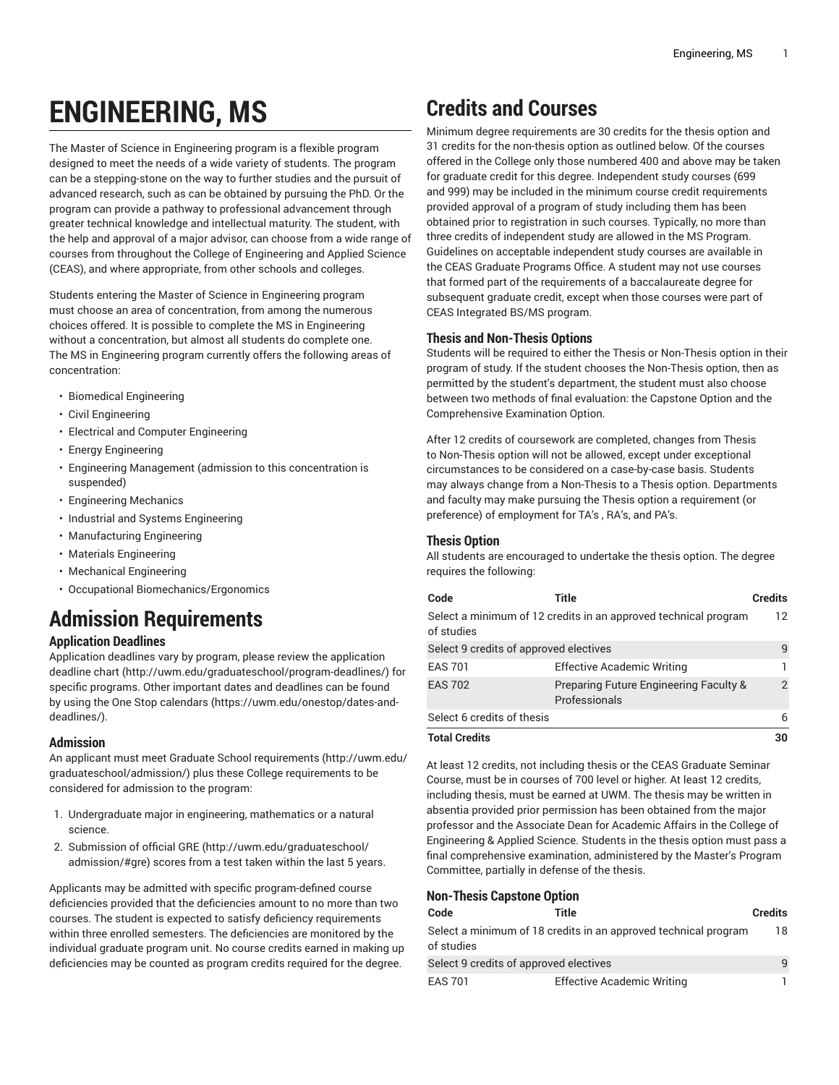# **ENGINEERING, MS**

The Master of Science in Engineering program is a flexible program designed to meet the needs of a wide variety of students. The program can be a stepping-stone on the way to further studies and the pursuit of advanced research, such as can be obtained by pursuing the PhD. Or the program can provide a pathway to professional advancement through greater technical knowledge and intellectual maturity. The student, with the help and approval of a major advisor, can choose from a wide range of courses from throughout the College of Engineering and Applied Science (CEAS), and where appropriate, from other schools and colleges.

Students entering the Master of Science in Engineering program must choose an area of concentration, from among the numerous choices offered. It is possible to complete the MS in Engineering without a concentration, but almost all students do complete one. The MS in Engineering program currently offers the following areas of concentration:

- Biomedical Engineering
- Civil Engineering
- Electrical and Computer Engineering
- Energy Engineering
- Engineering Management (admission to this concentration is suspended)
- Engineering Mechanics
- Industrial and Systems Engineering
- Manufacturing Engineering
- Materials Engineering
- Mechanical Engineering
- Occupational Biomechanics/Ergonomics

# **Admission Requirements**

# **Application Deadlines**

Application deadlines vary by program, please review the [application](http://uwm.edu/graduateschool/program-deadlines/) [deadline](http://uwm.edu/graduateschool/program-deadlines/) chart ([http://uwm.edu/graduateschool/program-deadlines/\)](http://uwm.edu/graduateschool/program-deadlines/) for specific programs. Other important dates and deadlines can be found by using the [One Stop calendars](https://uwm.edu/onestop/dates-and-deadlines/) ([https://uwm.edu/onestop/dates-and](https://uwm.edu/onestop/dates-and-deadlines/)[deadlines/\)](https://uwm.edu/onestop/dates-and-deadlines/).

# **Admission**

An applicant must meet Graduate School [requirements](http://uwm.edu/graduateschool/admission/) ([http://uwm.edu/](http://uwm.edu/graduateschool/admission/) [graduateschool/admission/](http://uwm.edu/graduateschool/admission/)) plus these College requirements to be considered for admission to the program:

- 1. Undergraduate major in engineering, mathematics or a natural science.
- 2. Submission of official [GRE \(http://uwm.edu/graduateschool/](http://uwm.edu/graduateschool/admission/#gre) [admission/#gre](http://uwm.edu/graduateschool/admission/#gre)) scores from a test taken within the last 5 years.

Applicants may be admitted with specific program-defined course deficiencies provided that the deficiencies amount to no more than two courses. The student is expected to satisfy deficiency requirements within three enrolled semesters. The deficiencies are monitored by the individual graduate program unit. No course credits earned in making up deficiencies may be counted as program credits required for the degree.

# **Credits and Courses**

Minimum degree requirements are 30 credits for the thesis option and 31 credits for the non-thesis option as outlined below. Of the courses offered in the College only those numbered 400 and above may be taken for graduate credit for this degree. Independent study courses (699 and 999) may be included in the minimum course credit requirements provided approval of a program of study including them has been obtained prior to registration in such courses. Typically, no more than three credits of independent study are allowed in the MS Program. Guidelines on acceptable independent study courses are available in the CEAS Graduate Programs Office. A student may not use courses that formed part of the requirements of a baccalaureate degree for subsequent graduate credit, except when those courses were part of CEAS Integrated BS/MS program.

### **Thesis and Non-Thesis Options**

Students will be required to either the Thesis or Non-Thesis option in their program of study. If the student chooses the Non-Thesis option, then as permitted by the student's department, the student must also choose between two methods of final evaluation: the Capstone Option and the Comprehensive Examination Option.

After 12 credits of coursework are completed, changes from Thesis to Non-Thesis option will not be allowed, except under exceptional circumstances to be considered on a case-by-case basis. Students may always change from a Non-Thesis to a Thesis option. Departments and faculty may make pursuing the Thesis option a requirement (or preference) of employment for TA's , RA's, and PA's.

### **Thesis Option**

All students are encouraged to undertake the thesis option. The degree requires the following:

| Code                                   | Title                                                           | <b>Credits</b> |
|----------------------------------------|-----------------------------------------------------------------|----------------|
| of studies                             | Select a minimum of 12 credits in an approved technical program | 12             |
| Select 9 credits of approved electives |                                                                 | 9              |
| <b>EAS 701</b>                         | <b>Effective Academic Writing</b>                               |                |
| <b>EAS 702</b>                         | Preparing Future Engineering Faculty &<br>Professionals         | $\mathcal{P}$  |
| Select 6 credits of thesis             |                                                                 | 6              |
| <b>Total Credits</b>                   |                                                                 | 30             |

At least 12 credits, not including thesis or the CEAS Graduate Seminar Course, must be in courses of 700 level or higher. At least 12 credits, including thesis, must be earned at UWM. The thesis may be written in absentia provided prior permission has been obtained from the major professor and the Associate Dean for Academic Affairs in the College of Engineering & Applied Science. Students in the thesis option must pass a final comprehensive examination, administered by the Master's Program Committee, partially in defense of the thesis.

# **Non-Thesis Capstone Option**

| Code                                   | Title                                                           | <b>Credits</b> |
|----------------------------------------|-----------------------------------------------------------------|----------------|
| of studies                             | Select a minimum of 18 credits in an approved technical program | 18             |
| Select 9 credits of approved electives |                                                                 | $\mathsf{q}$   |
| <b>EAS 701</b>                         | <b>Effective Academic Writing</b>                               |                |